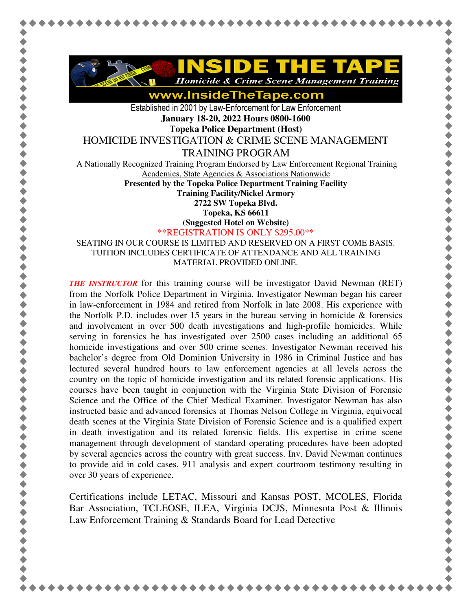

www.InsideTheTape.com

Established in 2001 by Law-Enforcement for Law Enforcement **January 18-20, 2022 Hours 0800-1600** 

**Topeka Police Department (Host)** 

HOMICIDE INVESTIGATION & CRIME SCENE MANAGEMENT

TRAINING PROGRAM

A Nationally Recognized Training Program Endorsed by Law Enforcement Regional Training

Academies, State Agencies & Associations Nationwide

**Presented by the Topeka Police Department Training Facility** 

**Training Facility/Nickel Armory** 

**2722 SW Topeka Blvd.** 

**Topeka, KS 66611** 

**(Suggested Hotel on Website)**

\*\*REGISTRATION IS ONLY \$295.00\*\*

SEATING IN OUR COURSE IS LIMITED AND RESERVED ON A FIRST COME BASIS. TUITION INCLUDES CERTIFICATE OF ATTENDANCE AND ALL TRAINING MATERIAL PROVIDED ONLINE.

*THE INSTRUCTOR* for this training course will be investigator David Newman (RET) from the Norfolk Police Department in Virginia. Investigator Newman began his career in law-enforcement in 1984 and retired from Norfolk in late 2008. His experience with the Norfolk P.D. includes over 15 years in the bureau serving in homicide  $\&$  forensics and involvement in over 500 death investigations and high-profile homicides. While serving in forensics he has investigated over 2500 cases including an additional 65 homicide investigations and over 500 crime scenes. Investigator Newman received his bachelor's degree from Old Dominion University in 1986 in Criminal Justice and has lectured several hundred hours to law enforcement agencies at all levels across the country on the topic of homicide investigation and its related forensic applications. His courses have been taught in conjunction with the Virginia State Division of Forensic Science and the Office of the Chief Medical Examiner. Investigator Newman has also instructed basic and advanced forensics at Thomas Nelson College in Virginia, equivocal death scenes at the Virginia State Division of Forensic Science and is a qualified expert in death investigation and its related forensic fields. His expertise in crime scene management through development of standard operating procedures have been adopted by several agencies across the country with great success. Inv. David Newman continues to provide aid in cold cases, 911 analysis and expert courtroom testimony resulting in over 30 years of experience.

\*\*\*\*\*\*\*\*\*\*\*\*\*\*\*\*\*\*\*\*\*\*\*\*\*\*\*\*\*\*\*\*\*\*\*\*\*

Certifications include LETAC, Missouri and Kansas POST, MCOLES, Florida Bar Association, TCLEOSE, ILEA, Virginia DCJS, Minnesota Post & Illinois Law Enforcement Training & Standards Board for Lead Detective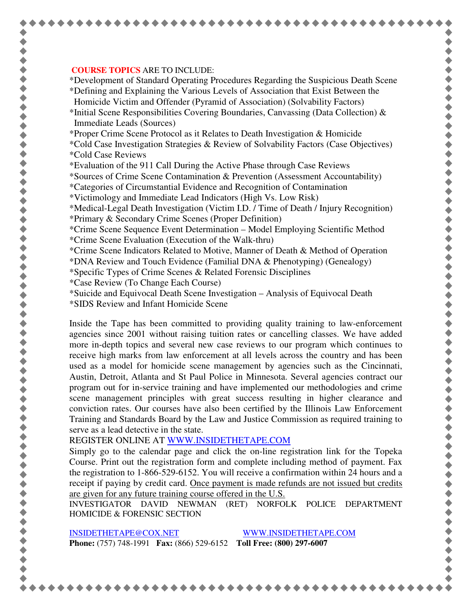## **COURSE TOPICS** ARE TO INCLUDE:

\*Development of Standard Operating Procedures Regarding the Suspicious Death Scene

\*Defining and Explaining the Various Levels of Association that Exist Between the Homicide Victim and Offender (Pyramid of Association) (Solvability Factors)

\*Initial Scene Responsibilities Covering Boundaries, Canvassing (Data Collection) & Immediate Leads (Sources)

\*Proper Crime Scene Protocol as it Relates to Death Investigation & Homicide

\*Cold Case Investigation Strategies & Review of Solvability Factors (Case Objectives) \*Cold Case Reviews

\*Evaluation of the 911 Call During the Active Phase through Case Reviews

\*Sources of Crime Scene Contamination & Prevention (Assessment Accountability)

\*Categories of Circumstantial Evidence and Recognition of Contamination

\*Victimology and Immediate Lead Indicators (High Vs. Low Risk)

\*Medical-Legal Death Investigation (Victim I.D. / Time of Death / Injury Recognition) \*Primary & Secondary Crime Scenes (Proper Definition)

\*Crime Scene Sequence Event Determination – Model Employing Scientific Method \*Crime Scene Evaluation (Execution of the Walk-thru)

\*Crime Scene Indicators Related to Motive, Manner of Death & Method of Operation

\*DNA Review and Touch Evidence (Familial DNA & Phenotyping) (Genealogy)

\*Specific Types of Crime Scenes & Related Forensic Disciplines

\*Case Review (To Change Each Course)

\*Suicide and Equivocal Death Scene Investigation – Analysis of Equivocal Death

\*SIDS Review and Infant Homicide Scene

Inside the Tape has been committed to providing quality training to law-enforcement agencies since 2001 without raising tuition rates or cancelling classes. We have added more in-depth topics and several new case reviews to our program which continues to receive high marks from law enforcement at all levels across the country and has been used as a model for homicide scene management by agencies such as the Cincinnati, Austin, Detroit, Atlanta and St Paul Police in Minnesota. Several agencies contract our program out for in-service training and have implemented our methodologies and crime scene management principles with great success resulting in higher clearance and conviction rates. Our courses have also been certified by the Illinois Law Enforcement Training and Standards Board by the Law and Justice Commission as required training to serve as a lead detective in the state.

REGISTER ONLINE AT WWW.INSIDETHETAPE.COM

Simply go to the calendar page and click the on-line registration link for the Topeka Course. Print out the registration form and complete including method of payment. Fax the registration to 1-866-529-6152. You will receive a confirmation within 24 hours and a receipt if paying by credit card. Once payment is made refunds are not issued but credits are given for any future training course offered in the U.S.

INVESTIGATOR DAVID NEWMAN (RET) NORFOLK POLICE DEPARTMENT HOMICIDE & FORENSIC SECTION

INSIDETHETAPE@COX.NET WWW.INSIDETHETAPE.COM